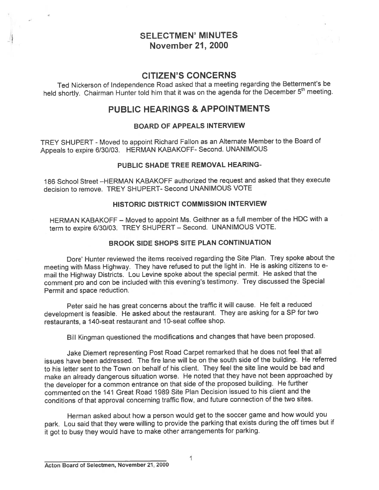# SELECTMEN' MINUTES November 21, 2000

### CITIZEN'S CONCERNS

Ted Nickerson of Independence Road asked that <sup>a</sup> meeting regarding the Betterment's be held shortly. Chairman Hunter told him that it was on the agenda for the December 5<sup>th</sup> meeting.

## PUBLIC HEARINGS & APPOINTMENTS

#### BOARD OF APPEALS INTERVIEW

TREY SHUPERT - Moved to appoint Richard Fallon as an Alternate Member to the Board of Appeals to expire 6/30/03. HERMAN KABAKOFF- Second. UNANIMOUS

#### PUBLIC SHADE TREE REMOVAL HEARING-

186 School Street —HERMAN KABAKOFF authorized the reques<sup>t</sup> and asked that they execute decision to remove. TREY SHUPERT- Second UNANIMOUS VOTE

#### HISTORIC DISTRICT COMMISSION INTERVIEW

HERMAN KABAKOFF — Moved to appoint Ms. Geithner as <sup>a</sup> full member of the HDC with <sup>a</sup> term to expire 6/30/03. TREY SHUPERT — Second. UNANIMOUS VOTE.

#### BROOK SIDE SHOPS SITE PLAN CONTINUATION

Dote' Hunter reviewed the items received regarding the Site Plan. Trey spoke about the meeting with Mass Highway. They have refused to pu<sup>t</sup> the light in. He is asking citizens to <sup>e</sup> mail the Highway Districts. Lou Levine spoke about the special permit. He asked that the comment pro and con be included with this evening's testimony. Trey discussed the Special Permit and space reduction.

Peter said he has grea<sup>t</sup> concerns about the traffic it will cause. He felt <sup>a</sup> reduced development is feasible. He asked about the restaurant. They are asking for <sup>a</sup> SP for two restaurants, <sup>a</sup> 140-seat restaurant and 10-seat coffee shop.

Bill Kingman questioned the modifications and changes that have been proposed.

Jake Diemert representing Post Road Carpet remarked that he does not feel that all issues have been addressed. The fire lane will be on the south side of the building. He referred to his letter sent to the Town on behalf of his client. They feel the site line would be bad and make an already dangerous situation worse. He noted that they have not been approached by the developer for <sup>a</sup> common entrance on that side of the propose<sup>d</sup> building. He further commented on the 141 Great Road 1989 Site Plan Decision issued to his client and the conditions of that approva<sup>l</sup> concerning traffic flow, and future connection of the two sites.

Herman asked about how <sup>a</sup> person would ge<sup>t</sup> to the soccer game and how would you park. Lou said that they were willing to provide the parking that exists during the off times but if it go<sup>t</sup> to busy they would have to make other arrangements for parking.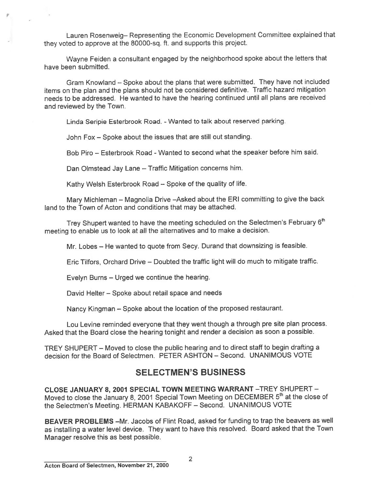Lauren Rosenweig— Representing the Economic Development Committee explained that they voted to approve at the 80000-sq. ft. and supports this project.

Wayne Feiden <sup>a</sup> consultant engage<sup>d</sup> by the neighborhood spoke about the letters that have been submitted.

Gram Knowland – Spoke about the plans that were submitted. They have not included items on the <sup>p</sup>lan and the <sup>p</sup>lans should not be considered definitive. Traffic hazard mitigation needs to be addressed. He wanted to have the hearing continued until all plans are received and reviewed by the Town.

Linda Seripie Esterbrook Road. - Wanted to talk about reserved parking.

John Fox — Spoke about the issues that are still out standing.

Bob Piro — Esterbrook Road -Wanted to second what the speaker before him said.

Dan Olmstead Jay Lane — Traffic Mitigation concerns him.

Kathy Welsh Esterbrook Road — Spoke of the quality of life.

Mary Michleman — Magnolia Drive —Asked about the ERI committing to <sup>g</sup>ive the back land to the Town of Acton and conditions that may be attached.

Trey Shupert wanted to have the meeting scheduled on the Selectmen's February 6<sup>th</sup> meeting to enable us to look at all the alternatives and to make <sup>a</sup> decision.

Mr. Lobes — He wanted to quote from Secy. Durand that downsizing is feasible.

Eric Tilfors, Orchard Drive — Doubted the traffic light will do much to mitigate traffic.

Evelyn Burns — Urged we continue the hearing.

David Helter — Spoke about retail space and needs

Nancy Kingman — Spoke about the location of the propose<sup>d</sup> restaurant.

Lou Levine reminded everyone that they went though <sup>a</sup> through pre site <sup>p</sup>lan process. Asked that the Board close the hearing tonight and render <sup>a</sup> decision as soon <sup>a</sup> possible.

TREY SHUPERT — Moved to close the public hearing and to direct staff to begin drafting <sup>a</sup> decision for the Board of Selectmen. PETER ASHTON — Second. UNANIMOUS VOTE

# SELECTMEN'S BUSINESS

CLOSE JANUARY 8, 2001 SPECIAL TOWN MEETING WARRANT —TREY SHUPERT — Moved to close the January 8, 2001 Special Town Meeting on DECEMBER 5<sup>th</sup> at the close of the Selectmen's Meeting. HERMAN KABAKOFF — Second. UNANIMOUS VOTE

BEAVER PROBLEMS —Mr. Jacobs of Flint Road, asked for funding to trap the beavers as well as installing <sup>a</sup> water level device. They want to have this resolved. Board asked that the Town Manager resolve this as best possible.